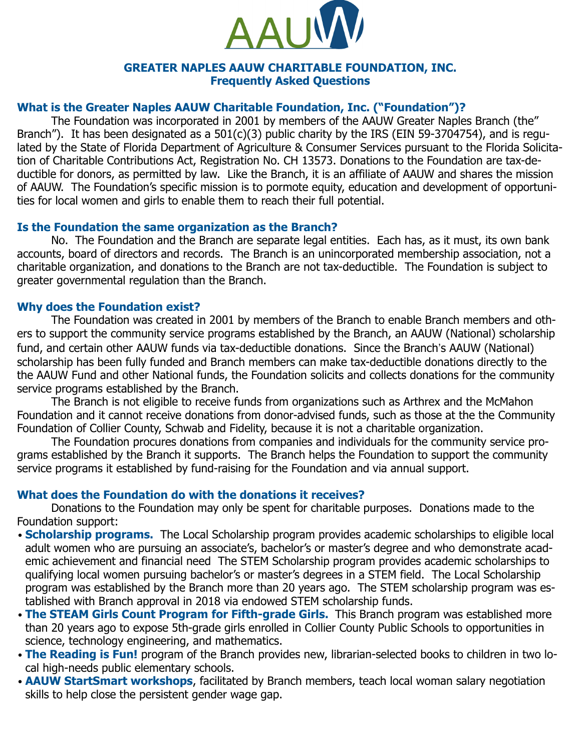

#### **GREATER NAPLES AAUW CHARITABLE FOUNDATION, INC. Frequently Asked Questions**

#### **What is the Greater Naples AAUW Charitable Foundation, Inc. ("Foundation")?**

The Foundation was incorporated in 2001 by members of the AAUW Greater Naples Branch (the" Branch"). It has been designated as a 501(c)(3) public charity by the IRS (EIN 59-3704754), and is regulated by the State of Florida Department of Agriculture & Consumer Services pursuant to the Florida Solicitation of Charitable Contributions Act, Registration No. CH 13573. Donations to the Foundation are tax-deductible for donors, as permitted by law. Like the Branch, it is an affiliate of AAUW and shares the mission of AAUW. The Foundation's specific mission is to pormote equity, education and development of opportunities for local women and girls to enable them to reach their full potential.

### **Is the Foundation the same organization as the Branch?**

No. The Foundation and the Branch are separate legal entities. Each has, as it must, its own bank accounts, board of directors and records. The Branch is an unincorporated membership association, not a charitable organization, and donations to the Branch are not tax-deductible. The Foundation is subject to greater governmental regulation than the Branch.

### **Why does the Foundation exist?**

The Foundation was created in 2001 by members of the Branch to enable Branch members and others to support the community service programs established by the Branch, an AAUW (National) scholarship fund, and certain other AAUW funds via tax-deductible donations. Since the Branch's AAUW (National) scholarship has been fully funded and Branch members can make tax-deductible donations directly to the the AAUW Fund and other National funds, the Foundation solicits and collects donations for the community service programs established by the Branch.

The Branch is not eligible to receive funds from organizations such as Arthrex and the McMahon Foundation and it cannot receive donations from donor-advised funds, such as those at the the Community Foundation of Collier County, Schwab and Fidelity, because it is not a charitable organization.

The Foundation procures donations from companies and individuals for the community service programs established by the Branch it supports. The Branch helps the Foundation to support the community service programs it established by fund-raising for the Foundation and via annual support.

# **What does the Foundation do with the donations it receives?**

Donations to the Foundation may only be spent for charitable purposes. Donations made to the Foundation support:

- **Scholarship programs.** The Local Scholarship program provides academic scholarships to eligible local adult women who are pursuing an associate's, bachelor's or master's degree and who demonstrate academic achievement and financial need The STEM Scholarship program provides academic scholarships to qualifying local women pursuing bachelor's or master's degrees in a STEM field. The Local Scholarship program was established by the Branch more than 20 years ago. The STEM scholarship program was established with Branch approval in 2018 via endowed STEM scholarship funds.
- **The STEAM Girls Count Program for Fifth-grade Girls.** This Branch program was established more than 20 years ago to expose 5th-grade girls enrolled in Collier County Public Schools to opportunities in science, technology engineering, and mathematics.
- **The Reading is Fun!** program of the Branch provides new, librarian-selected books to children in two local high-needs public elementary schools.
- **AAUW StartSmart workshops**, facilitated by Branch members, teach local woman salary negotiation skills to help close the persistent gender wage gap.